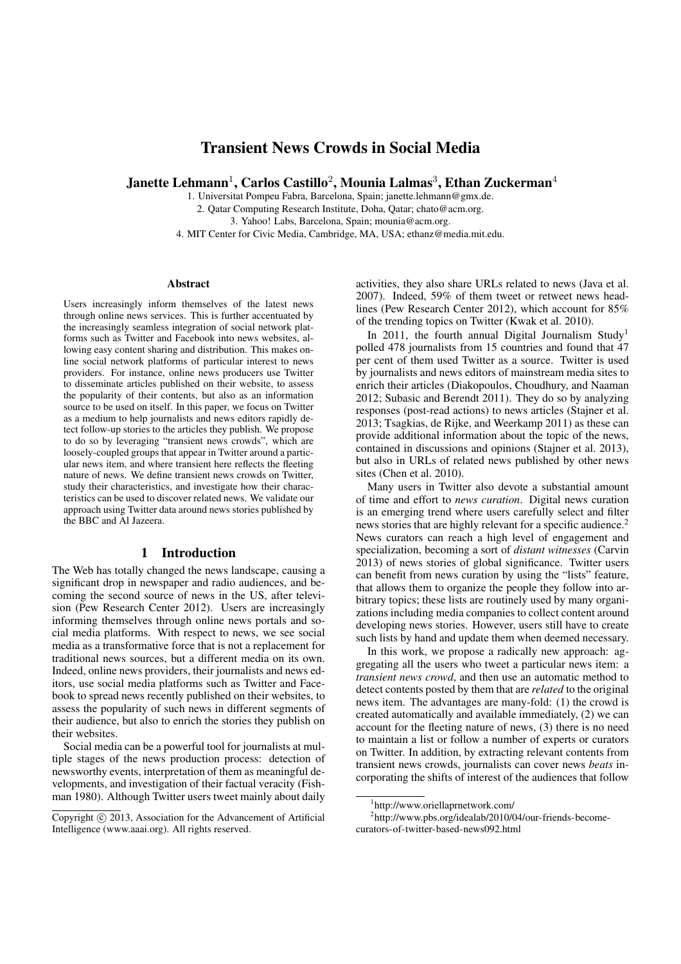# Transient News Crowds in Social Media

Janette Lehmann<sup>1</sup>, Carlos Castillo<sup>2</sup>, Mounia Lalmas<sup>3</sup>, Ethan Zuckerman<sup>4</sup>

1. Universitat Pompeu Fabra, Barcelona, Spain; janette.lehmann@gmx.de. 2. Qatar Computing Research Institute, Doha, Qatar; chato@acm.org.

3. Yahoo! Labs, Barcelona, Spain; mounia@acm.org.

4. MIT Center for Civic Media, Cambridge, MA, USA; ethanz@media.mit.edu.

## Abstract

Users increasingly inform themselves of the latest news through online news services. This is further accentuated by the increasingly seamless integration of social network platforms such as Twitter and Facebook into news websites, allowing easy content sharing and distribution. This makes online social network platforms of particular interest to news providers. For instance, online news producers use Twitter to disseminate articles published on their website, to assess the popularity of their contents, but also as an information source to be used on itself. In this paper, we focus on Twitter as a medium to help journalists and news editors rapidly detect follow-up stories to the articles they publish. We propose to do so by leveraging "transient news crowds", which are loosely-coupled groups that appear in Twitter around a particular news item, and where transient here reflects the fleeting nature of news. We define transient news crowds on Twitter, study their characteristics, and investigate how their characteristics can be used to discover related news. We validate our approach using Twitter data around news stories published by the BBC and Al Jazeera.

## 1 Introduction

The Web has totally changed the news landscape, causing a significant drop in newspaper and radio audiences, and becoming the second source of news in the US, after television (Pew Research Center 2012). Users are increasingly informing themselves through online news portals and social media platforms. With respect to news, we see social media as a transformative force that is not a replacement for traditional news sources, but a different media on its own. Indeed, online news providers, their journalists and news editors, use social media platforms such as Twitter and Facebook to spread news recently published on their websites, to assess the popularity of such news in different segments of their audience, but also to enrich the stories they publish on their websites.

Social media can be a powerful tool for journalists at multiple stages of the news production process: detection of newsworthy events, interpretation of them as meaningful developments, and investigation of their factual veracity (Fishman 1980). Although Twitter users tweet mainly about daily activities, they also share URLs related to news (Java et al. 2007). Indeed, 59% of them tweet or retweet news headlines (Pew Research Center 2012), which account for 85% of the trending topics on Twitter (Kwak et al. 2010).

In 2011, the fourth annual Digital Journalism Study<sup>1</sup> polled 478 journalists from 15 countries and found that 47 per cent of them used Twitter as a source. Twitter is used by journalists and news editors of mainstream media sites to enrich their articles (Diakopoulos, Choudhury, and Naaman 2012; Subasic and Berendt 2011). They do so by analyzing responses (post-read actions) to news articles (Stajner et al. 2013; Tsagkias, de Rijke, and Weerkamp 2011) as these can provide additional information about the topic of the news, contained in discussions and opinions (Stajner et al. 2013), but also in URLs of related news published by other news sites (Chen et al. 2010).

Many users in Twitter also devote a substantial amount of time and effort to *news curation*. Digital news curation is an emerging trend where users carefully select and filter news stories that are highly relevant for a specific audience.<sup>2</sup> News curators can reach a high level of engagement and specialization, becoming a sort of *distant witnesses* (Carvin 2013) of news stories of global significance. Twitter users can benefit from news curation by using the "lists" feature, that allows them to organize the people they follow into arbitrary topics; these lists are routinely used by many organizations including media companies to collect content around developing news stories. However, users still have to create such lists by hand and update them when deemed necessary.

In this work, we propose a radically new approach: aggregating all the users who tweet a particular news item: a *transient news crowd*, and then use an automatic method to detect contents posted by them that are *related* to the original news item. The advantages are many-fold: (1) the crowd is created automatically and available immediately, (2) we can account for the fleeting nature of news, (3) there is no need to maintain a list or follow a number of experts or curators on Twitter. In addition, by extracting relevant contents from transient news crowds, journalists can cover news *beats* incorporating the shifts of interest of the audiences that follow

Copyright (c) 2013, Association for the Advancement of Artificial Intelligence (www.aaai.org). All rights reserved.

<sup>1</sup> http://www.oriellaprnetwork.com/

<sup>&</sup>lt;sup>2</sup>http://www.pbs.org/idealab/2010/04/our-friends-becomecurators-of-twitter-based-news092.html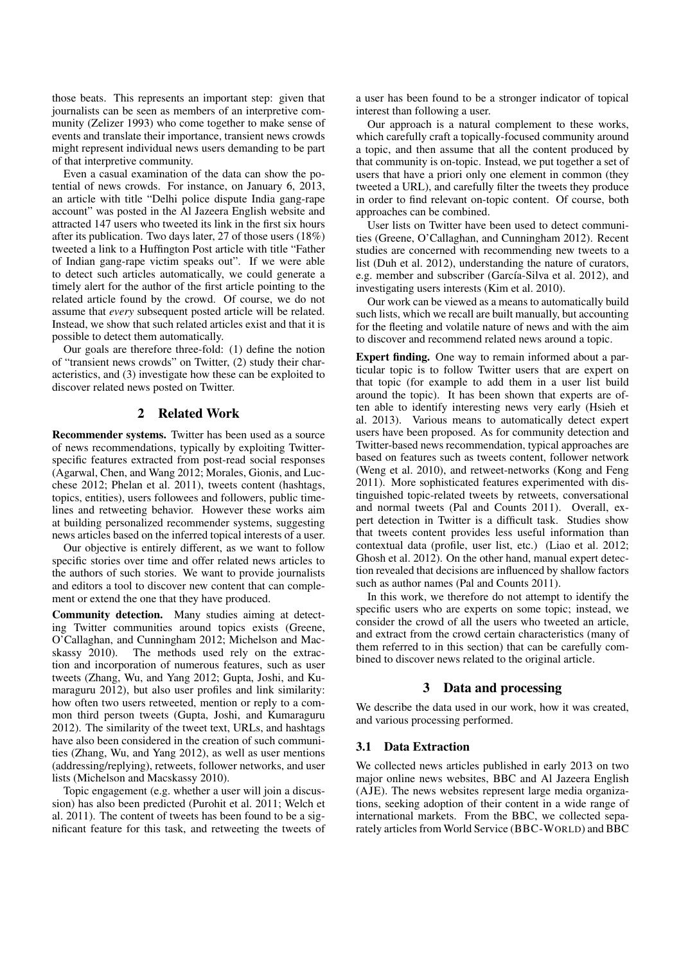those beats. This represents an important step: given that journalists can be seen as members of an interpretive community (Zelizer 1993) who come together to make sense of events and translate their importance, transient news crowds might represent individual news users demanding to be part of that interpretive community.

Even a casual examination of the data can show the potential of news crowds. For instance, on January 6, 2013, an article with title "Delhi police dispute India gang-rape account" was posted in the Al Jazeera English website and attracted 147 users who tweeted its link in the first six hours after its publication. Two days later, 27 of those users (18%) tweeted a link to a Huffington Post article with title "Father of Indian gang-rape victim speaks out". If we were able to detect such articles automatically, we could generate a timely alert for the author of the first article pointing to the related article found by the crowd. Of course, we do not assume that *every* subsequent posted article will be related. Instead, we show that such related articles exist and that it is possible to detect them automatically.

Our goals are therefore three-fold: (1) define the notion of "transient news crowds" on Twitter, (2) study their characteristics, and (3) investigate how these can be exploited to discover related news posted on Twitter.

## 2 Related Work

Recommender systems. Twitter has been used as a source of news recommendations, typically by exploiting Twitterspecific features extracted from post-read social responses (Agarwal, Chen, and Wang 2012; Morales, Gionis, and Lucchese 2012; Phelan et al. 2011), tweets content (hashtags, topics, entities), users followees and followers, public timelines and retweeting behavior. However these works aim at building personalized recommender systems, suggesting news articles based on the inferred topical interests of a user.

Our objective is entirely different, as we want to follow specific stories over time and offer related news articles to the authors of such stories. We want to provide journalists and editors a tool to discover new content that can complement or extend the one that they have produced.

Community detection. Many studies aiming at detecting Twitter communities around topics exists (Greene, O'Callaghan, and Cunningham 2012; Michelson and Macskassy 2010). The methods used rely on the extraction and incorporation of numerous features, such as user tweets (Zhang, Wu, and Yang 2012; Gupta, Joshi, and Kumaraguru 2012), but also user profiles and link similarity: how often two users retweeted, mention or reply to a common third person tweets (Gupta, Joshi, and Kumaraguru 2012). The similarity of the tweet text, URLs, and hashtags have also been considered in the creation of such communities (Zhang, Wu, and Yang 2012), as well as user mentions (addressing/replying), retweets, follower networks, and user lists (Michelson and Macskassy 2010).

Topic engagement (e.g. whether a user will join a discussion) has also been predicted (Purohit et al. 2011; Welch et al. 2011). The content of tweets has been found to be a significant feature for this task, and retweeting the tweets of a user has been found to be a stronger indicator of topical interest than following a user.

Our approach is a natural complement to these works, which carefully craft a topically-focused community around a topic, and then assume that all the content produced by that community is on-topic. Instead, we put together a set of users that have a priori only one element in common (they tweeted a URL), and carefully filter the tweets they produce in order to find relevant on-topic content. Of course, both approaches can be combined.

User lists on Twitter have been used to detect communities (Greene, O'Callaghan, and Cunningham 2012). Recent studies are concerned with recommending new tweets to a list (Duh et al. 2012), understanding the nature of curators, e.g. member and subscriber (García-Silva et al. 2012), and investigating users interests (Kim et al. 2010).

Our work can be viewed as a means to automatically build such lists, which we recall are built manually, but accounting for the fleeting and volatile nature of news and with the aim to discover and recommend related news around a topic.

Expert finding. One way to remain informed about a particular topic is to follow Twitter users that are expert on that topic (for example to add them in a user list build around the topic). It has been shown that experts are often able to identify interesting news very early (Hsieh et al. 2013). Various means to automatically detect expert users have been proposed. As for community detection and Twitter-based news recommendation, typical approaches are based on features such as tweets content, follower network (Weng et al. 2010), and retweet-networks (Kong and Feng 2011). More sophisticated features experimented with distinguished topic-related tweets by retweets, conversational and normal tweets (Pal and Counts 2011). Overall, expert detection in Twitter is a difficult task. Studies show that tweets content provides less useful information than contextual data (profile, user list, etc.) (Liao et al. 2012; Ghosh et al. 2012). On the other hand, manual expert detection revealed that decisions are influenced by shallow factors such as author names (Pal and Counts 2011).

In this work, we therefore do not attempt to identify the specific users who are experts on some topic; instead, we consider the crowd of all the users who tweeted an article, and extract from the crowd certain characteristics (many of them referred to in this section) that can be carefully combined to discover news related to the original article.

## 3 Data and processing

We describe the data used in our work, how it was created, and various processing performed.

#### 3.1 Data Extraction

We collected news articles published in early 2013 on two major online news websites, BBC and Al Jazeera English (AJE). The news websites represent large media organizations, seeking adoption of their content in a wide range of international markets. From the BBC, we collected separately articles from World Service (BBC-WORLD) and BBC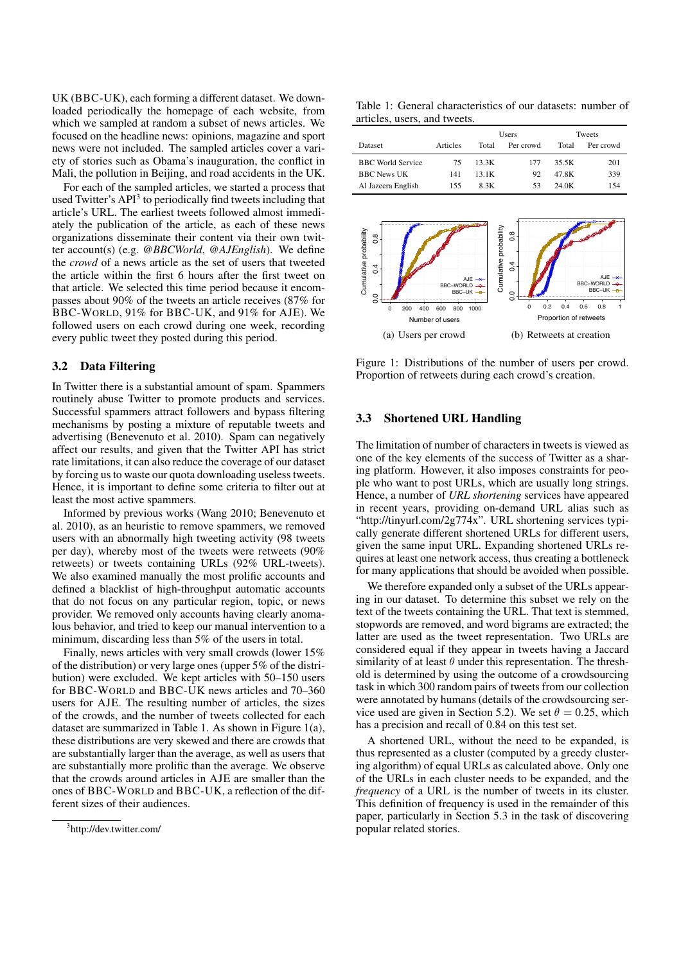UK (BBC-UK), each forming a different dataset. We downloaded periodically the homepage of each website, from which we sampled at random a subset of news articles. We focused on the headline news: opinions, magazine and sport news were not included. The sampled articles cover a variety of stories such as Obama's inauguration, the conflict in Mali, the pollution in Beijing, and road accidents in the UK.

For each of the sampled articles, we started a process that used Twitter's API<sup>3</sup> to periodically find tweets including that article's URL. The earliest tweets followed almost immediately the publication of the article, as each of these news organizations disseminate their content via their own twitter account(s) (e.g. *@BBCWorld*, *@AJEnglish*). We define the *crowd* of a news article as the set of users that tweeted the article within the first 6 hours after the first tweet on that article. We selected this time period because it encompasses about 90% of the tweets an article receives (87% for BBC-WORLD, 91% for BBC-UK, and 91% for AJE). We followed users on each crowd during one week, recording every public tweet they posted during this period.

## 3.2 Data Filtering

In Twitter there is a substantial amount of spam. Spammers routinely abuse Twitter to promote products and services. Successful spammers attract followers and bypass filtering mechanisms by posting a mixture of reputable tweets and advertising (Benevenuto et al. 2010). Spam can negatively affect our results, and given that the Twitter API has strict rate limitations, it can also reduce the coverage of our dataset by forcing us to waste our quota downloading useless tweets. Hence, it is important to define some criteria to filter out at least the most active spammers.

Informed by previous works (Wang 2010; Benevenuto et al. 2010), as an heuristic to remove spammers, we removed users with an abnormally high tweeting activity (98 tweets per day), whereby most of the tweets were retweets (90% retweets) or tweets containing URLs (92% URL-tweets). We also examined manually the most prolific accounts and defined a blacklist of high-throughput automatic accounts that do not focus on any particular region, topic, or news provider. We removed only accounts having clearly anomalous behavior, and tried to keep our manual intervention to a minimum, discarding less than 5% of the users in total.

Finally, news articles with very small crowds (lower 15% of the distribution) or very large ones (upper 5% of the distribution) were excluded. We kept articles with 50–150 users for BBC-WORLD and BBC-UK news articles and 70–360 users for AJE. The resulting number of articles, the sizes of the crowds, and the number of tweets collected for each dataset are summarized in Table 1. As shown in Figure 1(a), these distributions are very skewed and there are crowds that are substantially larger than the average, as well as users that are substantially more prolific than the average. We observe that the crowds around articles in AJE are smaller than the ones of BBC-WORLD and BBC-UK, a reflection of the different sizes of their audiences.

Table 1: General characteristics of our datasets: number of articles, users, and tweets.

|                          |          |       | Users     | Tweets |           |  |
|--------------------------|----------|-------|-----------|--------|-----------|--|
| Dataset                  | Articles | Total | Per crowd | Total  | Per crowd |  |
| <b>BBC</b> World Service | 75       | 13.3K | 177       | 35.5K  | 201       |  |
| <b>BBC</b> News UK       | 141      | 13 1K | 92        | 47.8K  | 339       |  |
| Al Jazeera English       | 155      | 8.3K  | 53        | 24 OK  | 154       |  |



Figure 1: Distributions of the number of users per crowd. Proportion of retweets during each crowd's creation.

## 3.3 Shortened URL Handling

The limitation of number of characters in tweets is viewed as one of the key elements of the success of Twitter as a sharing platform. However, it also imposes constraints for people who want to post URLs, which are usually long strings. Hence, a number of *URL shortening* services have appeared in recent years, providing on-demand URL alias such as "http://tinyurl.com/2g774x". URL shortening services typically generate different shortened URLs for different users, given the same input URL. Expanding shortened URLs requires at least one network access, thus creating a bottleneck for many applications that should be avoided when possible.

We therefore expanded only a subset of the URLs appearing in our dataset. To determine this subset we rely on the text of the tweets containing the URL. That text is stemmed, stopwords are removed, and word bigrams are extracted; the latter are used as the tweet representation. Two URLs are considered equal if they appear in tweets having a Jaccard similarity of at least  $\theta$  under this representation. The threshold is determined by using the outcome of a crowdsourcing task in which 300 random pairs of tweets from our collection were annotated by humans (details of the crowdsourcing service used are given in Section 5.2). We set  $\theta = 0.25$ , which has a precision and recall of 0.84 on this test set.

A shortened URL, without the need to be expanded, is thus represented as a cluster (computed by a greedy clustering algorithm) of equal URLs as calculated above. Only one of the URLs in each cluster needs to be expanded, and the *frequency* of a URL is the number of tweets in its cluster. This definition of frequency is used in the remainder of this paper, particularly in Section 5.3 in the task of discovering popular related stories.

<sup>&</sup>lt;sup>3</sup>http://dev.twitter.com/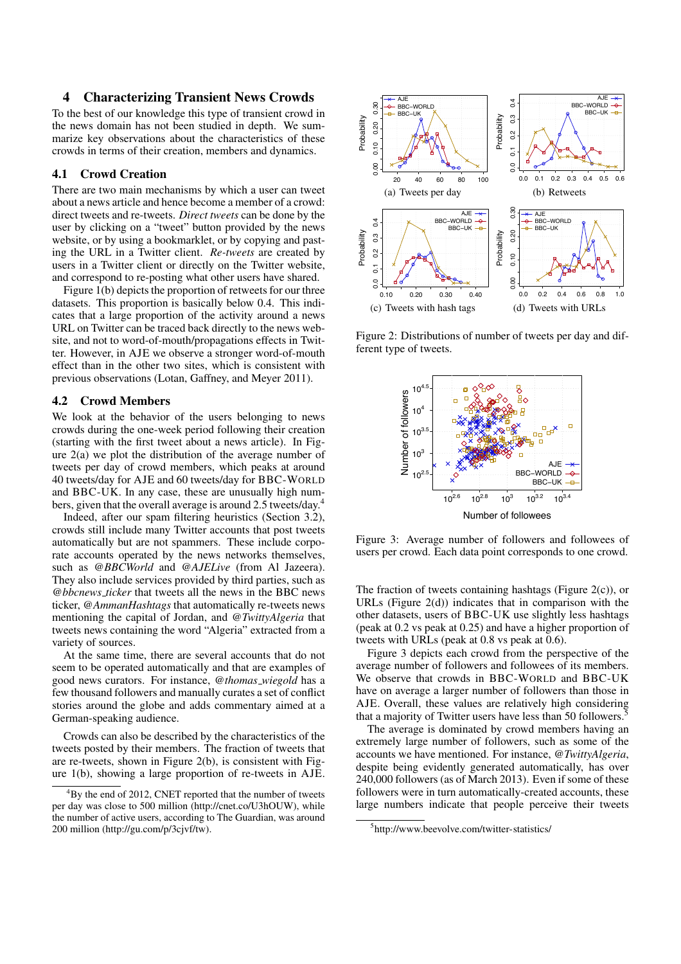## 4 Characterizing Transient News Crowds

To the best of our knowledge this type of transient crowd in the news domain has not been studied in depth. We summarize key observations about the characteristics of these crowds in terms of their creation, members and dynamics.

## 4.1 Crowd Creation

There are two main mechanisms by which a user can tweet about a news article and hence become a member of a crowd: direct tweets and re-tweets. *Direct tweets* can be done by the user by clicking on a "tweet" button provided by the news website, or by using a bookmarklet, or by copying and pasting the URL in a Twitter client. *Re-tweets* are created by users in a Twitter client or directly on the Twitter website, and correspond to re-posting what other users have shared.

Figure 1(b) depicts the proportion of retweets for our three datasets. This proportion is basically below 0.4. This indicates that a large proportion of the activity around a news URL on Twitter can be traced back directly to the news website, and not to word-of-mouth/propagations effects in Twitter. However, in AJE we observe a stronger word-of-mouth effect than in the other two sites, which is consistent with previous observations (Lotan, Gaffney, and Meyer 2011).

## 4.2 Crowd Members

We look at the behavior of the users belonging to news crowds during the one-week period following their creation (starting with the first tweet about a news article). In Figure 2(a) we plot the distribution of the average number of tweets per day of crowd members, which peaks at around 40 tweets/day for AJE and 60 tweets/day for BBC-WORLD and BBC-UK. In any case, these are unusually high numbers, given that the overall average is around 2.5 tweets/day.<sup>4</sup>

Indeed, after our spam filtering heuristics (Section 3.2), crowds still include many Twitter accounts that post tweets automatically but are not spammers. These include corporate accounts operated by the news networks themselves, such as *@BBCWorld* and *@AJELive* (from Al Jazeera). They also include services provided by third parties, such as *@bbcnews ticker* that tweets all the news in the BBC news ticker, *@AmmanHashtags* that automatically re-tweets news mentioning the capital of Jordan, and *@TwittyAlgeria* that tweets news containing the word "Algeria" extracted from a variety of sources.

At the same time, there are several accounts that do not seem to be operated automatically and that are examples of good news curators. For instance, *@thomas wiegold* has a few thousand followers and manually curates a set of conflict stories around the globe and adds commentary aimed at a German-speaking audience.

Crowds can also be described by the characteristics of the tweets posted by their members. The fraction of tweets that are re-tweets, shown in Figure 2(b), is consistent with Figure 1(b), showing a large proportion of re-tweets in AJE.



Figure 2: Distributions of number of tweets per day and different type of tweets.



Figure 3: Average number of followers and followees of users per crowd. Each data point corresponds to one crowd.

The fraction of tweets containing hashtags (Figure 2(c)), or URLs (Figure  $2(d)$ ) indicates that in comparison with the other datasets, users of BBC-UK use slightly less hashtags (peak at 0.2 vs peak at 0.25) and have a higher proportion of tweets with URLs (peak at 0.8 vs peak at 0.6).

Figure 3 depicts each crowd from the perspective of the average number of followers and followees of its members. We observe that crowds in BBC-WORLD and BBC-UK have on average a larger number of followers than those in AJE. Overall, these values are relatively high considering that a majority of Twitter users have less than 50 followers.<sup>5</sup>

The average is dominated by crowd members having an extremely large number of followers, such as some of the accounts we have mentioned. For instance, *@TwittyAlgeria*, despite being evidently generated automatically, has over 240,000 followers (as of March 2013). Even if some of these followers were in turn automatically-created accounts, these large numbers indicate that people perceive their tweets

 ${}^{4}$ By the end of 2012, CNET reported that the number of tweets per day was close to 500 million (http://cnet.co/U3hOUW), while the number of active users, according to The Guardian, was around 200 million (http://gu.com/p/3cjvf/tw).

<sup>5</sup> http://www.beevolve.com/twitter-statistics/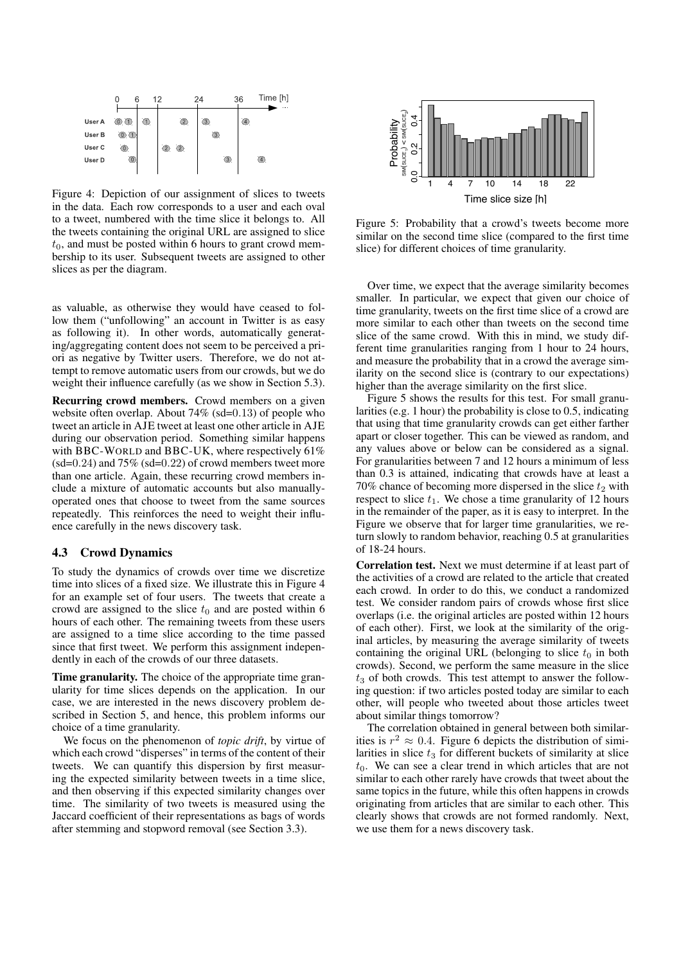

Figure 4: Depiction of our assignment of slices to tweets in the data. Each row corresponds to a user and each oval to a tweet, numbered with the time slice it belongs to. All the tweets containing the original URL are assigned to slice  $t_0$ , and must be posted within 6 hours to grant crowd membership to its user. Subsequent tweets are assigned to other slices as per the diagram.

as valuable, as otherwise they would have ceased to follow them ("unfollowing" an account in Twitter is as easy as following it). In other words, automatically generating/aggregating content does not seem to be perceived a priori as negative by Twitter users. Therefore, we do not attempt to remove automatic users from our crowds, but we do weight their influence carefully (as we show in Section 5.3).

Recurring crowd members. Crowd members on a given website often overlap. About 74% (sd=0*.*13) of people who tweet an article in AJE tweet at least one other article in AJE during our observation period. Something similar happens with BBC-WORLD and BBC-UK, where respectively 61% (sd=0*.*24) and 75% (sd=0*.*22) of crowd members tweet more than one article. Again, these recurring crowd members include a mixture of automatic accounts but also manuallyoperated ones that choose to tweet from the same sources repeatedly. This reinforces the need to weight their influence carefully in the news discovery task.

## 4.3 Crowd Dynamics

To study the dynamics of crowds over time we discretize time into slices of a fixed size. We illustrate this in Figure 4 for an example set of four users. The tweets that create a crowd are assigned to the slice  $t_0$  and are posted within 6 hours of each other. The remaining tweets from these users are assigned to a time slice according to the time passed since that first tweet. We perform this assignment independently in each of the crowds of our three datasets.

Time granularity. The choice of the appropriate time granularity for time slices depends on the application. In our case, we are interested in the news discovery problem described in Section 5, and hence, this problem informs our choice of a time granularity.

We focus on the phenomenon of *topic drift*, by virtue of which each crowd "disperses" in terms of the content of their tweets. We can quantify this dispersion by first measuring the expected similarity between tweets in a time slice, and then observing if this expected similarity changes over time. The similarity of two tweets is measured using the Jaccard coefficient of their representations as bags of words after stemming and stopword removal (see Section 3.3).



Figure 5: Probability that a crowd's tweets become more similar on the second time slice (compared to the first time slice) for different choices of time granularity.

Over time, we expect that the average similarity becomes smaller. In particular, we expect that given our choice of time granularity, tweets on the first time slice of a crowd are more similar to each other than tweets on the second time slice of the same crowd. With this in mind, we study different time granularities ranging from 1 hour to 24 hours, and measure the probability that in a crowd the average similarity on the second slice is (contrary to our expectations) higher than the average similarity on the first slice.

Figure 5 shows the results for this test. For small granularities (e.g. 1 hour) the probability is close to 0.5, indicating that using that time granularity crowds can get either farther apart or closer together. This can be viewed as random, and any values above or below can be considered as a signal. For granularities between 7 and 12 hours a minimum of less than 0.3 is attained, indicating that crowds have at least a 70% chance of becoming more dispersed in the slice  $t_2$  with respect to slice  $t_1$ . We chose a time granularity of 12 hours in the remainder of the paper, as it is easy to interpret. In the Figure we observe that for larger time granularities, we return slowly to random behavior, reaching 0.5 at granularities of 18-24 hours.

Correlation test. Next we must determine if at least part of the activities of a crowd are related to the article that created each crowd. In order to do this, we conduct a randomized test. We consider random pairs of crowds whose first slice overlaps (i.e. the original articles are posted within 12 hours of each other). First, we look at the similarity of the original articles, by measuring the average similarity of tweets containing the original URL (belonging to slice  $t_0$  in both crowds). Second, we perform the same measure in the slice  $t_3$  of both crowds. This test attempt to answer the following question: if two articles posted today are similar to each other, will people who tweeted about those articles tweet about similar things tomorrow?

The correlation obtained in general between both similarities is  $r^2 \approx 0.4$ . Figure 6 depicts the distribution of similarities in slice  $t_3$  for different buckets of similarity at slice  $t<sub>0</sub>$ . We can see a clear trend in which articles that are not similar to each other rarely have crowds that tweet about the same topics in the future, while this often happens in crowds originating from articles that are similar to each other. This clearly shows that crowds are not formed randomly. Next, we use them for a news discovery task.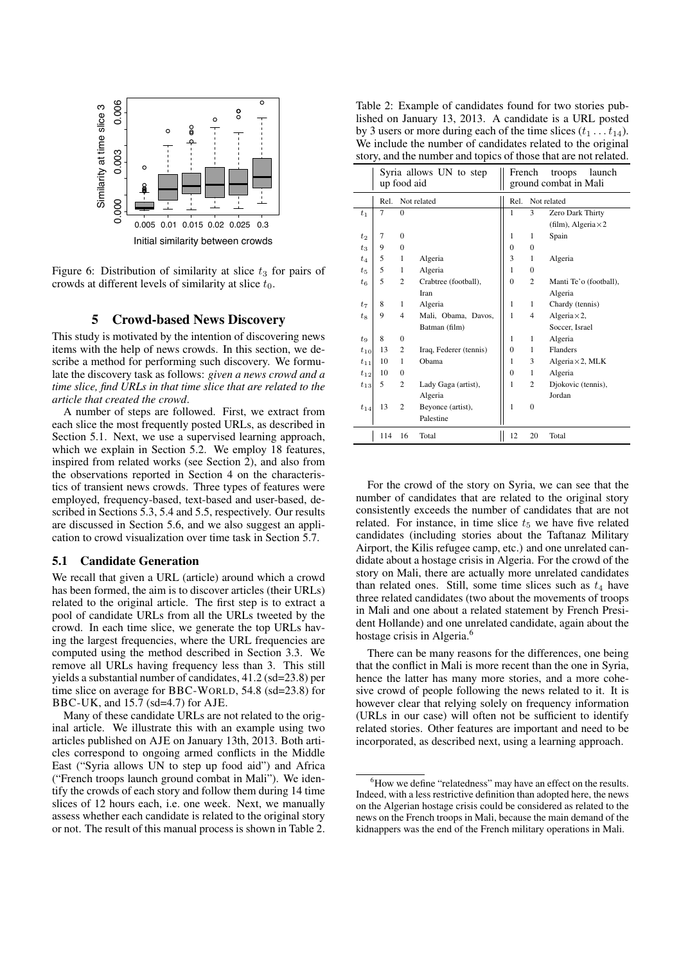

Figure 6: Distribution of similarity at slice  $t_3$  for pairs of crowds at different levels of similarity at slice *t*0.

## 5 Crowd-based News Discovery

This study is motivated by the intention of discovering news items with the help of news crowds. In this section, we describe a method for performing such discovery. We formulate the discovery task as follows: *given a news crowd and a time slice, find URLs in that time slice that are related to the article that created the crowd*.

A number of steps are followed. First, we extract from each slice the most frequently posted URLs, as described in Section 5.1. Next, we use a supervised learning approach, which we explain in Section 5.2. We employ 18 features, inspired from related works (see Section 2), and also from the observations reported in Section 4 on the characteristics of transient news crowds. Three types of features were employed, frequency-based, text-based and user-based, described in Sections 5.3, 5.4 and 5.5, respectively. Our results are discussed in Section 5.6, and we also suggest an application to crowd visualization over time task in Section 5.7.

#### 5.1 Candidate Generation

We recall that given a URL (article) around which a crowd has been formed, the aim is to discover articles (their URLs) related to the original article. The first step is to extract a pool of candidate URLs from all the URLs tweeted by the crowd. In each time slice, we generate the top URLs having the largest frequencies, where the URL frequencies are computed using the method described in Section 3.3. We remove all URLs having frequency less than 3. This still yields a substantial number of candidates, 41.2 (sd=23.8) per time slice on average for BBC-WORLD, 54.8 (sd=23.8) for BBC-UK, and 15.7 (sd=4.7) for AJE.

Many of these candidate URLs are not related to the original article. We illustrate this with an example using two articles published on AJE on January 13th, 2013. Both articles correspond to ongoing armed conflicts in the Middle East ("Syria allows UN to step up food aid") and Africa ("French troops launch ground combat in Mali"). We identify the crowds of each story and follow them during 14 time slices of 12 hours each, i.e. one week. Next, we manually assess whether each candidate is related to the original story or not. The result of this manual process is shown in Table 2.

| Table 2: Example of candidates found for two stories pub-                |
|--------------------------------------------------------------------------|
| lished on January 13, 2013. A candidate is a URL posted                  |
| by 3 users or more during each of the time slices $(t_1 \dots t_{14})$ . |
| We include the number of candidates related to the original              |
| story, and the number and topics of those that are not related.          |

|          | Syria allows UN to step<br>up food aid |                |                        |              | French<br>launch<br>troops<br>ground combat in Mali |                            |  |  |
|----------|----------------------------------------|----------------|------------------------|--------------|-----------------------------------------------------|----------------------------|--|--|
|          | Rel.                                   |                | Not related            | Rel.         |                                                     | Not related                |  |  |
| $t_{1}$  | 7                                      | $\Omega$       |                        | 1            | 3                                                   | Zero Dark Thirty           |  |  |
|          |                                        |                |                        |              |                                                     | (film), Algeria $\times$ 2 |  |  |
| $t_2$    | 7                                      | $\Omega$       |                        | 1            | 1                                                   | Spain                      |  |  |
| $t_3$    | 9                                      | $\Omega$       |                        | $\Omega$     | $\Omega$                                            |                            |  |  |
| $t_{4}$  | 5                                      | 1              | Algeria                | 3            | 1                                                   | Algeria                    |  |  |
| $t_{5}$  | 5                                      | 1              | Algeria                | 1            | $\Omega$                                            |                            |  |  |
| $t_{6}$  | 5                                      | $\overline{2}$ | Crabtree (football),   | $\mathbf{0}$ | $\overline{c}$                                      | Manti Te'o (football),     |  |  |
|          |                                        |                | Iran                   |              |                                                     | Algeria                    |  |  |
| $t_7$    | 8                                      | 1              | Algeria                | 1            | 1                                                   | Chardy (tennis)            |  |  |
| $t_{8}$  | 9                                      | 4              | Mali, Obama, Davos,    | 1            | 4                                                   | Algeria $\times$ 2,        |  |  |
|          |                                        |                | Batman (film)          |              |                                                     | Soccer, Israel             |  |  |
| $t_{9}$  | 8                                      | $\mathbf{0}$   |                        | 1            | 1                                                   | Algeria                    |  |  |
| $t_{10}$ | 13                                     | $\overline{c}$ | Iraq, Federer (tennis) | $\mathbf{0}$ | 1                                                   | Flanders                   |  |  |
| $t_{11}$ | 10                                     | 1              | Obama                  | 1            | 3                                                   | Algeria $\times$ 2, MLK    |  |  |
| $t_{12}$ | 10                                     | 0              |                        | $\mathbf{0}$ | 1                                                   | Algeria                    |  |  |
| $t_{13}$ | 5                                      | $\overline{c}$ | Lady Gaga (artist),    | 1            | $\overline{c}$                                      | Djokovic (tennis),         |  |  |
|          |                                        |                | Algeria                |              |                                                     | Jordan                     |  |  |
| $t_{14}$ | 13                                     | $\overline{c}$ | Beyonce (artist),      | $\mathbf{1}$ | $\theta$                                            |                            |  |  |
|          |                                        |                | Palestine              |              |                                                     |                            |  |  |
|          | 114                                    | 16             | Total                  | 12           | 20                                                  | Total                      |  |  |

For the crowd of the story on Syria, we can see that the number of candidates that are related to the original story consistently exceeds the number of candidates that are not related. For instance, in time slice  $t<sub>5</sub>$  we have five related candidates (including stories about the Taftanaz Military Airport, the Kilis refugee camp, etc.) and one unrelated candidate about a hostage crisis in Algeria. For the crowd of the story on Mali, there are actually more unrelated candidates than related ones. Still, some time slices such as  $t_4$  have three related candidates (two about the movements of troops in Mali and one about a related statement by French President Hollande) and one unrelated candidate, again about the hostage crisis in Algeria.<sup>6</sup>

There can be many reasons for the differences, one being that the conflict in Mali is more recent than the one in Syria, hence the latter has many more stories, and a more cohesive crowd of people following the news related to it. It is however clear that relying solely on frequency information (URLs in our case) will often not be sufficient to identify related stories. Other features are important and need to be incorporated, as described next, using a learning approach.

<sup>&</sup>lt;sup>6</sup>How we define "relatedness" may have an effect on the results. Indeed, with a less restrictive definition than adopted here, the news on the Algerian hostage crisis could be considered as related to the news on the French troops in Mali, because the main demand of the kidnappers was the end of the French military operations in Mali.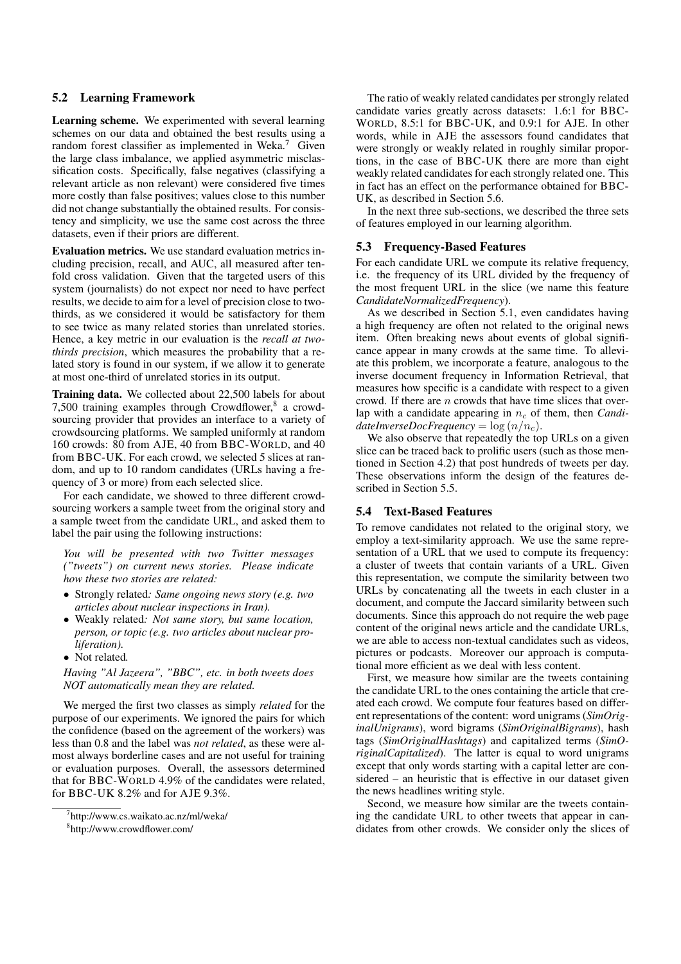## 5.2 Learning Framework

Learning scheme. We experimented with several learning schemes on our data and obtained the best results using a random forest classifier as implemented in Weka.<sup>7</sup> Given the large class imbalance, we applied asymmetric misclassification costs. Specifically, false negatives (classifying a relevant article as non relevant) were considered five times more costly than false positives; values close to this number did not change substantially the obtained results. For consistency and simplicity, we use the same cost across the three datasets, even if their priors are different.

Evaluation metrics. We use standard evaluation metrics including precision, recall, and AUC, all measured after tenfold cross validation. Given that the targeted users of this system (journalists) do not expect nor need to have perfect results, we decide to aim for a level of precision close to twothirds, as we considered it would be satisfactory for them to see twice as many related stories than unrelated stories. Hence, a key metric in our evaluation is the *recall at twothirds precision*, which measures the probability that a related story is found in our system, if we allow it to generate at most one-third of unrelated stories in its output.

Training data. We collected about 22,500 labels for about 7,500 training examples through Crowdflower, $8$  a crowdsourcing provider that provides an interface to a variety of crowdsourcing platforms. We sampled uniformly at random 160 crowds: 80 from AJE, 40 from BBC-WORLD, and 40 from BBC-UK. For each crowd, we selected 5 slices at random, and up to 10 random candidates (URLs having a frequency of 3 or more) from each selected slice.

For each candidate, we showed to three different crowdsourcing workers a sample tweet from the original story and a sample tweet from the candidate URL, and asked them to label the pair using the following instructions:

*You will be presented with two Twitter messages ("tweets") on current news stories. Please indicate how these two stories are related:*

- *•* Strongly related*: Same ongoing news story (e.g. two articles about nuclear inspections in Iran).*
- *•* Weakly related*: Not same story, but same location, person, or topic (e.g. two articles about nuclear proliferation).*
- *•* Not related*.*

*Having "Al Jazeera", "BBC", etc. in both tweets does NOT automatically mean they are related.*

We merged the first two classes as simply *related* for the purpose of our experiments. We ignored the pairs for which the confidence (based on the agreement of the workers) was less than 0.8 and the label was *not related*, as these were almost always borderline cases and are not useful for training or evaluation purposes. Overall, the assessors determined that for BBC-WORLD 4.9% of the candidates were related, for BBC-UK 8.2% and for AJE 9.3%.

8 http://www.crowdflower.com/

The ratio of weakly related candidates per strongly related candidate varies greatly across datasets: 1.6:1 for BBC-WORLD, 8.5:1 for BBC-UK, and 0.9:1 for AJE. In other words, while in AJE the assessors found candidates that were strongly or weakly related in roughly similar proportions, in the case of BBC-UK there are more than eight weakly related candidates for each strongly related one. This in fact has an effect on the performance obtained for BBC-UK, as described in Section 5.6.

In the next three sub-sections, we described the three sets of features employed in our learning algorithm.

#### 5.3 Frequency-Based Features

For each candidate URL we compute its relative frequency, i.e. the frequency of its URL divided by the frequency of the most frequent URL in the slice (we name this feature *CandidateNormalizedFrequency*).

As we described in Section 5.1, even candidates having a high frequency are often not related to the original news item. Often breaking news about events of global significance appear in many crowds at the same time. To alleviate this problem, we incorporate a feature, analogous to the inverse document frequency in Information Retrieval, that measures how specific is a candidate with respect to a given crowd. If there are *n* crowds that have time slices that overlap with a candidate appearing in *n<sup>c</sup>* of them, then *Candi* $dateInverseDocFrequency = log (n/n<sub>c</sub>).$ 

We also observe that repeatedly the top URLs on a given slice can be traced back to prolific users (such as those mentioned in Section 4.2) that post hundreds of tweets per day. These observations inform the design of the features described in Section 5.5.

## 5.4 Text-Based Features

To remove candidates not related to the original story, we employ a text-similarity approach. We use the same representation of a URL that we used to compute its frequency: a cluster of tweets that contain variants of a URL. Given this representation, we compute the similarity between two URLs by concatenating all the tweets in each cluster in a document, and compute the Jaccard similarity between such documents. Since this approach do not require the web page content of the original news article and the candidate URLs, we are able to access non-textual candidates such as videos, pictures or podcasts. Moreover our approach is computational more efficient as we deal with less content.

First, we measure how similar are the tweets containing the candidate URL to the ones containing the article that created each crowd. We compute four features based on different representations of the content: word unigrams (*SimOriginalUnigrams*), word bigrams (*SimOriginalBigrams*), hash tags (*SimOriginalHashtags*) and capitalized terms (*SimOriginalCapitalized*). The latter is equal to word unigrams except that only words starting with a capital letter are considered – an heuristic that is effective in our dataset given the news headlines writing style.

Second, we measure how similar are the tweets containing the candidate URL to other tweets that appear in candidates from other crowds. We consider only the slices of

<sup>7</sup> http://www.cs.waikato.ac.nz/ml/weka/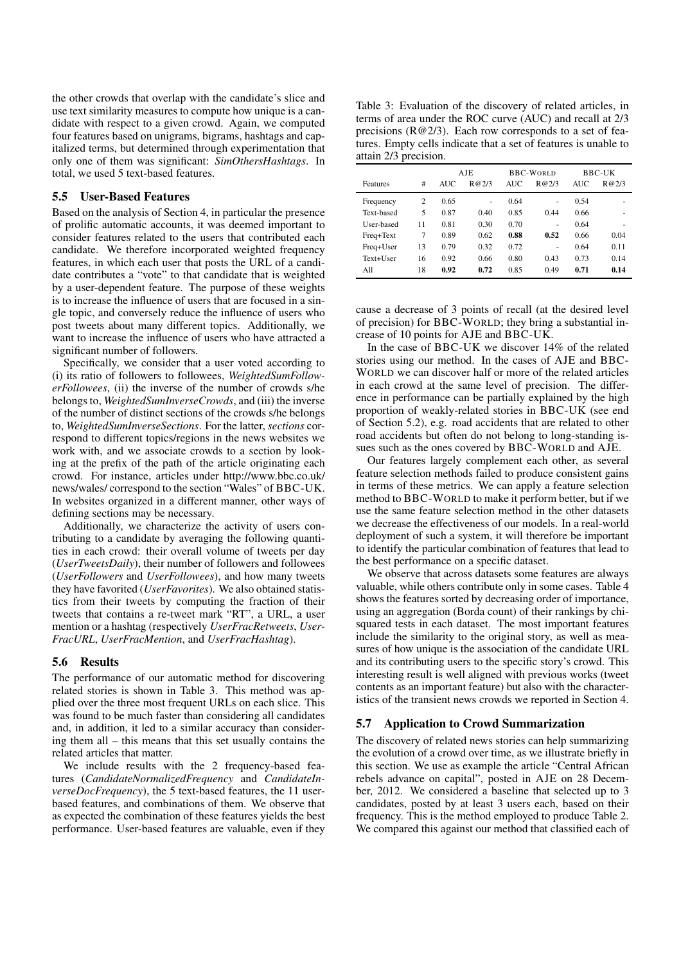the other crowds that overlap with the candidate's slice and use text similarity measures to compute how unique is a candidate with respect to a given crowd. Again, we computed four features based on unigrams, bigrams, hashtags and capitalized terms, but determined through experimentation that only one of them was significant: *SimOthersHashtags*. In total, we used 5 text-based features.

#### 5.5 User-Based Features

Based on the analysis of Section 4, in particular the presence of prolific automatic accounts, it was deemed important to consider features related to the users that contributed each candidate. We therefore incorporated weighted frequency features, in which each user that posts the URL of a candidate contributes a "vote" to that candidate that is weighted by a user-dependent feature. The purpose of these weights is to increase the influence of users that are focused in a single topic, and conversely reduce the influence of users who post tweets about many different topics. Additionally, we want to increase the influence of users who have attracted a significant number of followers.

Specifically, we consider that a user voted according to (i) its ratio of followers to followees, *WeightedSumFollowerFollowees*, (ii) the inverse of the number of crowds s/he belongs to, *WeightedSumInverseCrowds*, and (iii) the inverse of the number of distinct sections of the crowds s/he belongs to, *WeightedSumInverseSections*. For the latter, *sections* correspond to different topics/regions in the news websites we work with, and we associate crowds to a section by looking at the prefix of the path of the article originating each crowd. For instance, articles under http://www.bbc.co.uk/ news/wales/ correspond to the section "Wales" of BBC-UK. In websites organized in a different manner, other ways of defining sections may be necessary.

Additionally, we characterize the activity of users contributing to a candidate by averaging the following quantities in each crowd: their overall volume of tweets per day (*UserTweetsDaily*), their number of followers and followees (*UserFollowers* and *UserFollowees*), and how many tweets they have favorited (*UserFavorites*). We also obtained statistics from their tweets by computing the fraction of their tweets that contains a re-tweet mark "RT", a URL, a user mention or a hashtag (respectively *UserFracRetweets*, *User-FracURL*, *UserFracMention*, and *UserFracHashtag*).

## 5.6 Results

The performance of our automatic method for discovering related stories is shown in Table 3. This method was applied over the three most frequent URLs on each slice. This was found to be much faster than considering all candidates and, in addition, it led to a similar accuracy than considering them all – this means that this set usually contains the related articles that matter.

We include results with the 2 frequency-based features (*CandidateNormalizedFrequency* and *CandidateInverseDocFrequency*), the 5 text-based features, the 11 userbased features, and combinations of them. We observe that as expected the combination of these features yields the best performance. User-based features are valuable, even if they

Table 3: Evaluation of the discovery of related articles, in terms of area under the ROC curve (AUC) and recall at 2/3 precisions (R@2/3). Each row corresponds to a set of features. Empty cells indicate that a set of features is unable to attain 2/3 precision.

|            |                | AJE        |       | <b>BBC-WORLD</b> |       | BBC-UK     |       |
|------------|----------------|------------|-------|------------------|-------|------------|-------|
| Features   | #              | <b>AUC</b> | R@2/3 | <b>AUC</b>       | R@2/3 | <b>AUC</b> | R@2/3 |
| Frequency  | $\overline{c}$ | 0.65       | ÷.    | 0.64             | ٠     | 0.54       |       |
| Text-based | 5              | 0.87       | 0.40  | 0.85             | 0.44  | 0.66       |       |
| User-based | 11             | 0.81       | 0.30  | 0.70             | ٠     | 0.64       | ۰     |
| Freq+Text  | 7              | 0.89       | 0.62  | 0.88             | 0.52  | 0.66       | 0.04  |
| Freq+User  | 13             | 0.79       | 0.32  | 0.72             | ٠     | 0.64       | 0.11  |
| Text+User  | 16             | 0.92       | 0.66  | 0.80             | 0.43  | 0.73       | 0.14  |
| A11        | 18             | 0.92       | 0.72  | 0.85             | 0.49  | 0.71       | 0.14  |

cause a decrease of 3 points of recall (at the desired level of precision) for BBC-WORLD; they bring a substantial increase of 10 points for AJE and BBC-UK.

In the case of BBC-UK we discover 14% of the related stories using our method. In the cases of AJE and BBC-WORLD we can discover half or more of the related articles in each crowd at the same level of precision. The difference in performance can be partially explained by the high proportion of weakly-related stories in BBC-UK (see end of Section 5.2), e.g. road accidents that are related to other road accidents but often do not belong to long-standing issues such as the ones covered by BBC-WORLD and AJE.

Our features largely complement each other, as several feature selection methods failed to produce consistent gains in terms of these metrics. We can apply a feature selection method to BBC-WORLD to make it perform better, but if we use the same feature selection method in the other datasets we decrease the effectiveness of our models. In a real-world deployment of such a system, it will therefore be important to identify the particular combination of features that lead to the best performance on a specific dataset.

We observe that across datasets some features are always valuable, while others contribute only in some cases. Table 4 shows the features sorted by decreasing order of importance, using an aggregation (Borda count) of their rankings by chisquared tests in each dataset. The most important features include the similarity to the original story, as well as measures of how unique is the association of the candidate URL and its contributing users to the specific story's crowd. This interesting result is well aligned with previous works (tweet contents as an important feature) but also with the characteristics of the transient news crowds we reported in Section 4.

## 5.7 Application to Crowd Summarization

The discovery of related news stories can help summarizing the evolution of a crowd over time, as we illustrate briefly in this section. We use as example the article "Central African rebels advance on capital", posted in AJE on 28 December, 2012. We considered a baseline that selected up to 3 candidates, posted by at least 3 users each, based on their frequency. This is the method employed to produce Table 2. We compared this against our method that classified each of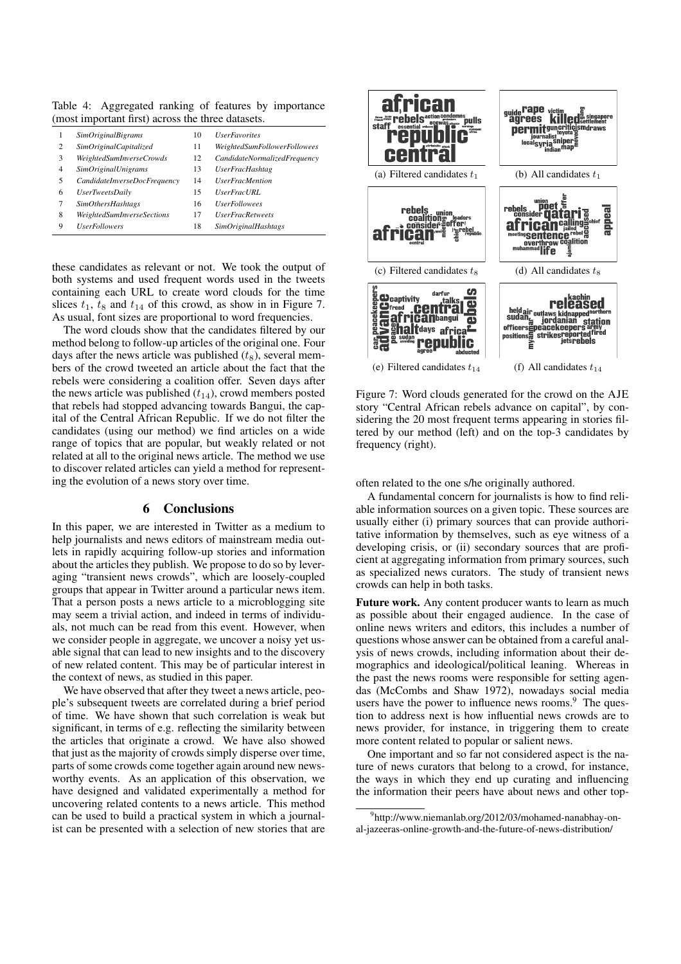Table 4: Aggregated ranking of features by importance (most important first) across the three datasets.

|   | <i><b>SimOriginalBigrams</b></i>  | 10 | <i>UserFavorites</i>         |
|---|-----------------------------------|----|------------------------------|
| 2 | SimOriginalCapitalized            | 11 | WeightedSumFollowerFollowees |
| 3 | WeightedSumInverseCrowds          | 12 | CandidateNormalizedFrequency |
| 4 | <i><b>SimOriginalUnigrams</b></i> | 13 | <b>UserFracHashtag</b>       |
| 5 | CandidateInverseDocFrequency      | 14 | <b>UserFracMention</b>       |
| 6 | <i>UserTweetsDaily</i>            | 15 | <b>UserFracURL</b>           |
| 7 | <b>SimOthersHashtags</b>          | 16 | <b>UserFollowees</b>         |
| 8 | WeightedSumInverseSections        | 17 | <b>UserFracRetweets</b>      |
| 9 | <b>UserFollowers</b>              | 18 | <b>SimOriginalHashtags</b>   |

these candidates as relevant or not. We took the output of both systems and used frequent words used in the tweets containing each URL to create word clouds for the time slices  $t_1$ ,  $t_8$  and  $t_{14}$  of this crowd, as show in in Figure 7. As usual, font sizes are proportional to word frequencies.

The word clouds show that the candidates filtered by our method belong to follow-up articles of the original one. Four days after the news article was published  $(t_8)$ , several members of the crowd tweeted an article about the fact that the rebels were considering a coalition offer. Seven days after the news article was published  $(t_{14})$ , crowd members posted that rebels had stopped advancing towards Bangui, the capital of the Central African Republic. If we do not filter the candidates (using our method) we find articles on a wide range of topics that are popular, but weakly related or not related at all to the original news article. The method we use to discover related articles can yield a method for representing the evolution of a news story over time.

## 6 Conclusions

In this paper, we are interested in Twitter as a medium to help journalists and news editors of mainstream media outlets in rapidly acquiring follow-up stories and information about the articles they publish. We propose to do so by leveraging "transient news crowds", which are loosely-coupled groups that appear in Twitter around a particular news item. That a person posts a news article to a microblogging site may seem a trivial action, and indeed in terms of individuals, not much can be read from this event. However, when we consider people in aggregate, we uncover a noisy yet usable signal that can lead to new insights and to the discovery of new related content. This may be of particular interest in the context of news, as studied in this paper.

We have observed that after they tweet a news article, people's subsequent tweets are correlated during a brief period of time. We have shown that such correlation is weak but significant, in terms of e.g. reflecting the similarity between the articles that originate a crowd. We have also showed that just as the majority of crowds simply disperse over time, parts of some crowds come together again around new newsworthy events. As an application of this observation, we have designed and validated experimentally a method for uncovering related contents to a news article. This method can be used to build a practical system in which a journalist can be presented with a selection of new stories that are



Figure 7: Word clouds generated for the crowd on the AJE story "Central African rebels advance on capital", by considering the 20 most frequent terms appearing in stories filtered by our method (left) and on the top-3 candidates by frequency (right).

#### often related to the one s/he originally authored.

A fundamental concern for journalists is how to find reliable information sources on a given topic. These sources are usually either (i) primary sources that can provide authoritative information by themselves, such as eye witness of a developing crisis, or (ii) secondary sources that are proficient at aggregating information from primary sources, such as specialized news curators. The study of transient news crowds can help in both tasks.

Future work. Any content producer wants to learn as much as possible about their engaged audience. In the case of online news writers and editors, this includes a number of questions whose answer can be obtained from a careful analysis of news crowds, including information about their demographics and ideological/political leaning. Whereas in the past the news rooms were responsible for setting agendas (McCombs and Shaw 1972), nowadays social media users have the power to influence news rooms.<sup>9</sup> The question to address next is how influential news crowds are to news provider, for instance, in triggering them to create more content related to popular or salient news.

One important and so far not considered aspect is the nature of news curators that belong to a crowd, for instance, the ways in which they end up curating and influencing the information their peers have about news and other top-

<sup>9</sup> http://www.niemanlab.org/2012/03/mohamed-nanabhay-onal-jazeeras-online-growth-and-the-future-of-news-distribution/